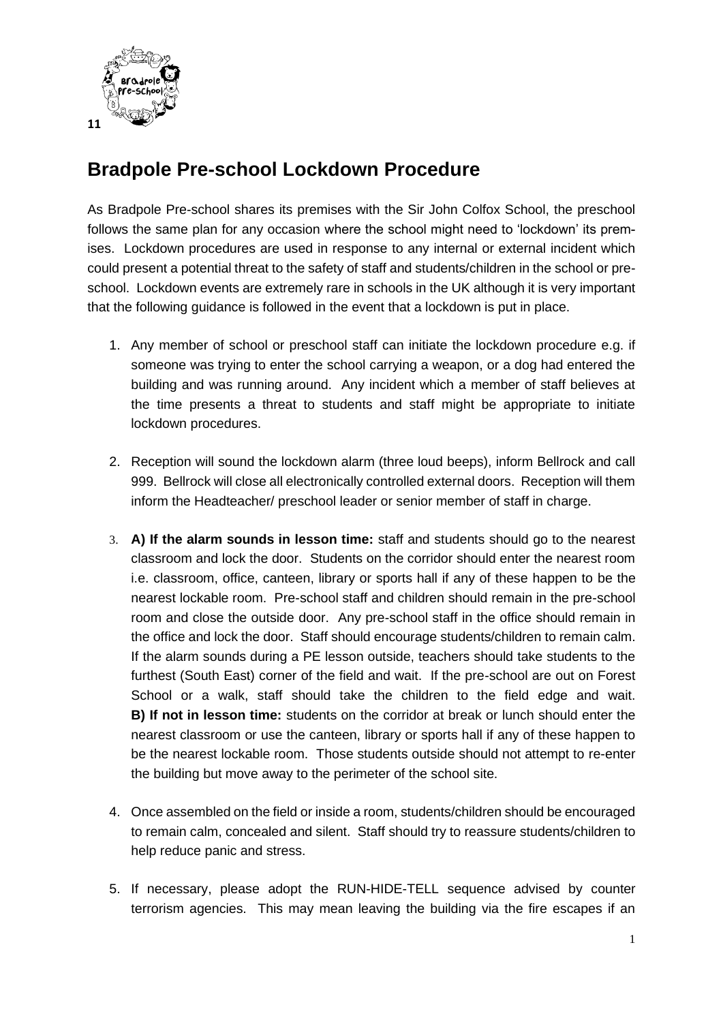

## **Bradpole Pre-school Lockdown Procedure**

As Bradpole Pre-school shares its premises with the Sir John Colfox School, the preschool follows the same plan for any occasion where the school might need to 'lockdown' its premises. Lockdown procedures are used in response to any internal or external incident which could present a potential threat to the safety of staff and students/children in the school or preschool. Lockdown events are extremely rare in schools in the UK although it is very important that the following guidance is followed in the event that a lockdown is put in place.

- 1. Any member of school or preschool staff can initiate the lockdown procedure e.g. if someone was trying to enter the school carrying a weapon, or a dog had entered the building and was running around. Any incident which a member of staff believes at the time presents a threat to students and staff might be appropriate to initiate lockdown procedures.
- 2. Reception will sound the lockdown alarm (three loud beeps), inform Bellrock and call 999. Bellrock will close all electronically controlled external doors. Reception will them inform the Headteacher/ preschool leader or senior member of staff in charge.
- 3. **A) If the alarm sounds in lesson time:** staff and students should go to the nearest classroom and lock the door. Students on the corridor should enter the nearest room i.e. classroom, office, canteen, library or sports hall if any of these happen to be the nearest lockable room. Pre-school staff and children should remain in the pre-school room and close the outside door. Any pre-school staff in the office should remain in the office and lock the door. Staff should encourage students/children to remain calm. If the alarm sounds during a PE lesson outside, teachers should take students to the furthest (South East) corner of the field and wait. If the pre-school are out on Forest School or a walk, staff should take the children to the field edge and wait. **B) If not in lesson time:** students on the corridor at break or lunch should enter the nearest classroom or use the canteen, library or sports hall if any of these happen to be the nearest lockable room. Those students outside should not attempt to re-enter the building but move away to the perimeter of the school site.
- 4. Once assembled on the field or inside a room, students/children should be encouraged to remain calm, concealed and silent. Staff should try to reassure students/children to help reduce panic and stress.
- 5. If necessary, please adopt the RUN-HIDE-TELL sequence advised by counter terrorism agencies. This may mean leaving the building via the fire escapes if an